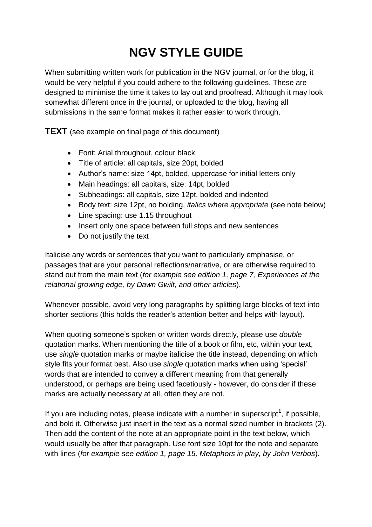# **NGV STYLE GUIDE**

When submitting written work for publication in the NGV journal, or for the blog, it would be very helpful if you could adhere to the following guidelines. These are designed to minimise the time it takes to lay out and proofread. Although it may look somewhat different once in the journal, or uploaded to the blog, having all submissions in the same format makes it rather easier to work through.

**TEXT** (see example on final page of this document)

- Font: Arial throughout, colour black
- Title of article: all capitals, size 20pt, bolded
- Author's name: size 14pt, bolded, uppercase for initial letters only
- Main headings: all capitals, size: 14pt, bolded
- Subheadings: all capitals, size 12pt, bolded and indented
- Body text: size 12pt, no bolding, *italics where appropriate* (see note below)
- Line spacing: use 1.15 throughout
- Insert only one space between full stops and new sentences
- Do not justify the text

Italicise any words or sentences that you want to particularly emphasise, or passages that are your personal reflections/narrative, or are otherwise required to stand out from the main text (*for example see edition 1, page 7, Experiences at the relational growing edge, by Dawn Gwilt, and other articles*).

Whenever possible, avoid very long paragraphs by splitting large blocks of text into shorter sections (this holds the reader's attention better and helps with layout).

When quoting someone's spoken or written words directly, please use *double* quotation marks. When mentioning the title of a book or film, etc, within your text, use *single* quotation marks or maybe italicise the title instead, depending on which style fits your format best. Also use *single* quotation marks when using 'special' words that are intended to convey a different meaning from that generally understood, or perhaps are being used facetiously - however, do consider if these marks are actually necessary at all, often they are not.

If you are including notes, please indicate with a number in superscript**<sup>1</sup>** , if possible, and bold it. Otherwise just insert in the text as a normal sized number in brackets (2). Then add the content of the note at an appropriate point in the text below, which would usually be after that paragraph. Use font size 10pt for the note and separate with lines (*for example see edition 1, page 15, Metaphors in play, by John Verbos*).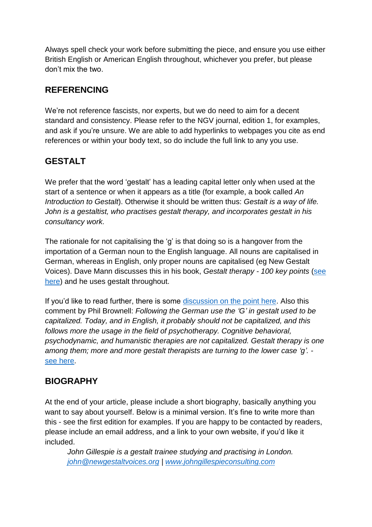Always spell check your work before submitting the piece, and ensure you use either British English or American English throughout, whichever you prefer, but please don't mix the two.

## **REFERENCING**

We're not reference fascists, nor experts, but we do need to aim for a decent standard and consistency. Please refer to the NGV journal, edition 1, for examples, and ask if you're unsure. We are able to add hyperlinks to webpages you cite as end references or within your body text, so do include the full link to any you use.

## **GESTALT**

We prefer that the word 'gestalt' has a leading capital letter only when used at the start of a sentence or when it appears as a title (for example, a book called *An Introduction to Gestalt*). Otherwise it should be written thus: *Gestalt is a way of life. John is a gestaltist, who practises gestalt therapy, and incorporates gestalt in his consultancy work.* 

The rationale for not capitalising the 'g' is that doing so is a hangover from the importation of a German noun to the English language. All nouns are capitalised in German, whereas in English, only proper nouns are capitalised (eg New Gestalt Voices). Dave Mann discusses this in his book, *Gestalt therapy - 100 key points* [\(see](http://amzn.to/2tt00hZ)  [here\)](http://amzn.to/2tt00hZ) and he uses gestalt throughout.

If you'd like to read further, there is some [discussion on the point here.](https://dict.leo.org/forum/viewGeneraldiscussion.php?idThread=228149) Also this comment by Phil Brownell: *Following the German use the 'G' in gestalt used to be capitalized. Today, and in English, it probably should not be capitalized, and this follows more the usage in the field of psychotherapy. Cognitive behavioral, psychodynamic, and humanistic therapies are not capitalized. Gestalt therapy is one among them; more and more gestalt therapists are turning to the lower case 'g'.*  [see here.](https://en.wikipedia.org/wiki/Talk%3AGestalt_therapy#Capital_G_versus_lowercase_G_in_.22Gestalt.22)

## **BIOGRAPHY**

At the end of your article, please include a short biography, basically anything you want to say about yourself. Below is a minimal version. It's fine to write more than this - see the first edition for examples. If you are happy to be contacted by readers, please include an email address, and a link to your own website, if you'd like it included.

*John Gillespie is a gestalt trainee studying and practising in London. [john@newgestaltvoices.org](mailto:john@newgestaltvoices.org) | [www.johngillespieconsulting.com](http://www.johngillespieconsulting.com/)*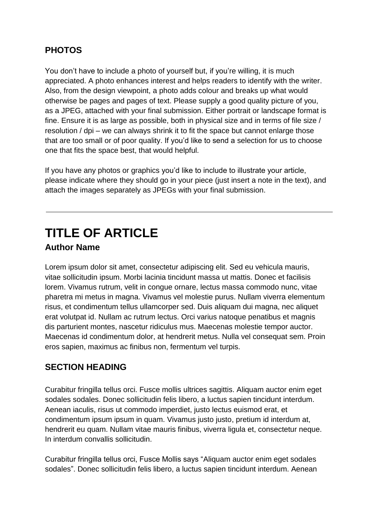## **PHOTOS**

You don't have to include a photo of yourself but, if you're willing, it is much appreciated. A photo enhances interest and helps readers to identify with the writer. Also, from the design viewpoint, a photo adds colour and breaks up what would otherwise be pages and pages of text. Please supply a good quality picture of you, as a JPEG, attached with your final submission. Either portrait or landscape format is fine. Ensure it is as large as possible, both in physical size and in terms of file size / resolution / dpi – we can always shrink it to fit the space but cannot enlarge those that are too small or of poor quality. If you'd like to send a selection for us to choose one that fits the space best, that would helpful.

If you have any photos or graphics you'd like to include to illustrate your article, please indicate where they should go in your piece (just insert a note in the text), and attach the images separately as JPEGs with your final submission.

## **TITLE OF ARTICLE**

#### **Author Name**

Lorem ipsum dolor sit amet, consectetur adipiscing elit. Sed eu vehicula mauris, vitae sollicitudin ipsum. Morbi lacinia tincidunt massa ut mattis. Donec et facilisis lorem. Vivamus rutrum, velit in congue ornare, lectus massa commodo nunc, vitae pharetra mi metus in magna. Vivamus vel molestie purus. Nullam viverra elementum risus, et condimentum tellus ullamcorper sed. Duis aliquam dui magna, nec aliquet erat volutpat id. Nullam ac rutrum lectus. Orci varius natoque penatibus et magnis dis parturient montes, nascetur ridiculus mus. Maecenas molestie tempor auctor. Maecenas id condimentum dolor, at hendrerit metus. Nulla vel consequat sem. Proin eros sapien, maximus ac finibus non, fermentum vel turpis.

#### **SECTION HEADING**

Curabitur fringilla tellus orci. Fusce mollis ultrices sagittis. Aliquam auctor enim eget sodales sodales. Donec sollicitudin felis libero, a luctus sapien tincidunt interdum. Aenean iaculis, risus ut commodo imperdiet, justo lectus euismod erat, et condimentum ipsum ipsum in quam. Vivamus justo justo, pretium id interdum at, hendrerit eu quam. Nullam vitae mauris finibus, viverra ligula et, consectetur neque. In interdum convallis sollicitudin.

Curabitur fringilla tellus orci, Fusce Mollis says "Aliquam auctor enim eget sodales sodales". Donec sollicitudin felis libero, a luctus sapien tincidunt interdum. Aenean